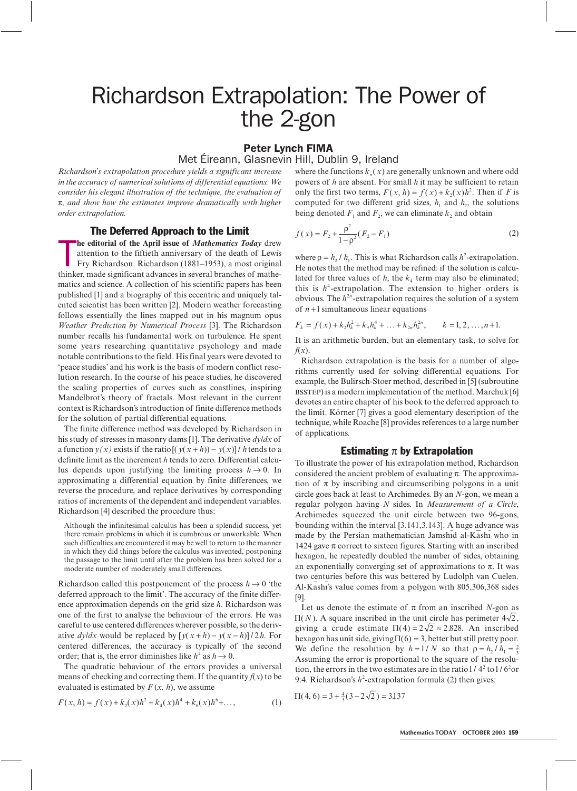# Richardson Extrapolation: The Power of the 2-gon

# Peter Lynch FIMA<br>Met Éireann, Glasnevin Hill, Dublin 9, Ireland

*Richardson's extrapolation procedure yields a significant increase in the accuracy of numerical solutions of differential equations. We consider his elegant illustration of the technique, the evaluation of* π*, and show how the estimates improve dramatically with higher order extrapolation.*

# The Deferred Approach to the Limit

**the editorial of the April issue of** *Mathematics Today* drew attention to the fiftieth anniversary of the death of Lewis Fry Richardson. Richardson (1881–1953), a most original thinker, made significant advances in sever **he editorial of the April issue of** *Mathematics Today* drew attention to the fiftieth anniversary of the death of Lewis Fry Richardson. Richardson (1881–1953), a most original matics and science. A collection of his scientific papers has been published [1] and a biography of this eccentric and uniquely talented scientist has been written [2]. Modern weather forecasting follows essentially the lines mapped out in his magnum opus *Weather Prediction by Numerical Process* [3]. The Richardson number recalls his fundamental work on turbulence. He spent some years researching quantitative psychology and made notable contributions to the field. His final years were devoted to 'peace studies' and his work is the basis of modern conflict resolution research. In the course of his peace studies, he discovered the scaling properties of curves such as coastlines, inspiring Mandelbrot's theory of fractals. Most relevant in the current context is Richardson's introduction of finite difference methods for the solution of partial differential equations.

The finite difference method was developed by Richardson in his study of stresses in masonry dams [1]. The derivative *dy/dx* of a function  $y(x)$  exists if the ratio  $[(y(x+h)) - y(x)] / h$  tends to a definite limit as the increment *h* tends to zero. Differential calculus depends upon justifying the limiting process  $h \to 0$ . In approximating a differential equation by finite differences, we reverse the procedure, and replace derivatives by corresponding ratios of increments of the dependent and independent variables. Richardson [4] described the procedure thus:

Although the infinitesimal calculus has been a splendid success, yet there remain problems in which it is cumbrous or unworkable. When such difficulties are encountered it may be well to return to the manner in which they did things before the calculus was invented, postponing the passage to the limit until after the problem has been solved for a moderate number of moderately small differences.

Richardson called this postponement of the process  $h \rightarrow 0$  'the deferred approach to the limit'. The accuracy of the finite difference approximation depends on the grid size *h*. Richardson was one of the first to analyse the behaviour of the errors. He was careful to use centered differences wherever possible, so the derivative  $dy/dx$  would be replaced by  $[y(x+h) - y(x-h)]/2h$ . For centered differences, the accuracy is typically of the second order; that is, the error diminishes like  $h^2$  as  $h \to 0$ .

The quadratic behaviour of the errors provides a universal means of checking and correcting them. If the quantity  $f(x)$  to be evaluated is estimated by  $F(x, h)$ , we assume

$$
F(x, h) = f(x) + k_2(x)h^2 + k_4(x)h^4 + k_6(x)h^6 + \dots,
$$
 (1)

where the functions  $k_n(x)$  are generally unknown and where odd powers of *h* are absent. For small *h* it may be sufficient to retain only the first two terms,  $F(x, h) = f(x) + k_2(x)h^2$ . Then if *F* is computed for two different grid sizes,  $h_1$  and  $h_2$ , the solutions being denoted  $F_1$  and  $F_2$ , we can eliminate  $k_2$  and obtain

$$
f(x) = F_2 + \frac{\rho^2}{1 - \rho^2} (F_2 - F_1)
$$
 (2)

where  $\rho = h_2 / h_1$ . This is what Richardson calls  $h^2$ -extrapolation. He notes that the method may be refined: if the solution is calculated for three values of  $h$ , the  $k_4$  term may also be eliminated; this is  $h^4$ -extrapolation. The extension to higher orders is obvious. The  $h^{2n}$ -extrapolation requires the solution of a system of  $n+1$  simultaneous linear equations

$$
F_k = f(x) + k_2 h_k^2 + k_4 h_k^4 + \dots + k_{2n} h_k^{2n}, \qquad k = 1, 2, \dots, n+1.
$$

It is an arithmetic burden, but an elementary task, to solve for *f*(*x*).

Richardson extrapolation is the basis for a number of algorithms currently used for solving differential equations. For example, the Bulirsch-Stoer method, described in [5] (subroutine BSSTEP) is a modern implementation of the method. Marchuk [6] devotes an entire chapter of his book to the deferred approach to the limit. Körner [7] gives a good elementary description of the technique, while Roache [8] provides references to a large number of applications.

### Estimating  $\pi$  by Extrapolation

To illustrate the power of his extrapolation method, Richardson considered the ancient problem of evaluating  $\pi$ . The approximation of  $\pi$  by inscribing and circumscribing polygons in a unit circle goes back at least to Archimedes. By an *N*-gon, we mean a regular polygon having *N* sides. In *Measurement of a Circle*, Archimedes squeezed the unit circle between two 96-gons, bounding within the interval [3.141,3.143]. A huge advance was made by the Persian mathematician Jamshid al-Kashi who in 1424 gave  $\pi$  correct to sixteen figures. Starting with an inscribed hexagon, he repeatedly doubled the number of sides, obtaining an exponentially converging set of approximations to  $\pi$ . It was two centuries before this was bettered by Ludolph van Cuelen. Al-Kash's value comes from a polygon with 805,306,368 sides [9].

Let us denote the estimate of  $\pi$  from an inscribed *N*-gon as  $\Pi(N)$ . A square inscribed in the unit circle has perimeter  $4\sqrt{2}$ , giving a crude estimate  $\Pi(4) = 2\sqrt{2} \approx 2.828$ . An inscribed hexagon has unit side, giving  $\Pi(6) = 3$ , better but still pretty poor. We define the resolution by  $h = 1/N$  so that  $\rho = h_2/h_1 = \frac{2}{3}$ Assuming the error is proportional to the square of the resolution, the errors in the two estimates are in the ratio  $1/4^2$  to  $1/6^2$  or 9:4. Richardson's  $h^2$ -extrapolation formula (2) then gives:

$$
\Pi(4,6) = 3 + \frac{4}{5}(3 - 2\sqrt{2}) = 3.137
$$